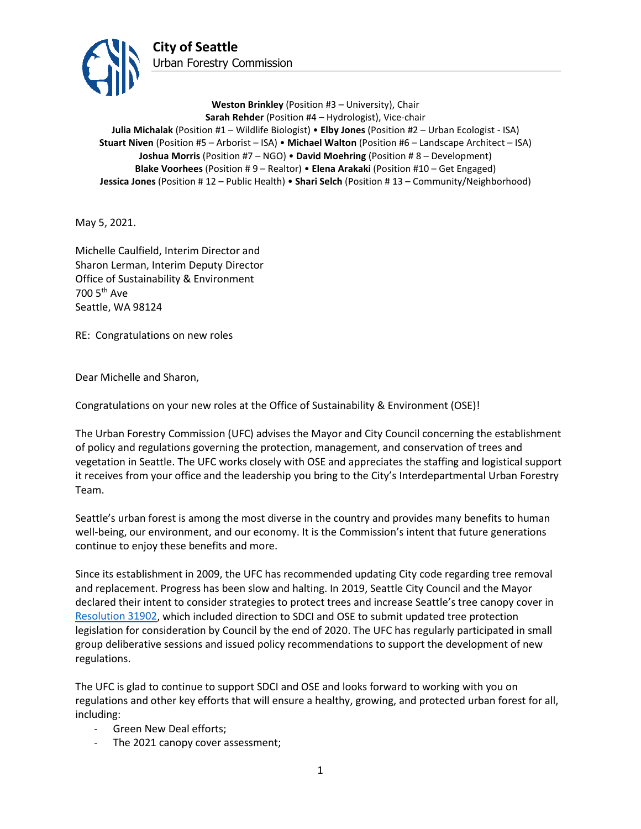

**Weston Brinkley** (Position #3 – University), Chair **Sarah Rehder** (Position #4 – Hydrologist), Vice-chair **Julia Michalak** (Position #1 – Wildlife Biologist) • **Elby Jones** (Position #2 – Urban Ecologist - ISA) **Stuart Niven** (Position #5 – Arborist – ISA) • **Michael Walton** (Position #6 – Landscape Architect – ISA) **Joshua Morris** (Position #7 – NGO) • **David Moehring** (Position # 8 – Development) **Blake Voorhees** (Position # 9 – Realtor) • **Elena Arakaki** (Position #10 – Get Engaged) **Jessica Jones** (Position # 12 – Public Health) • **Shari Selch** (Position # 13 – Community/Neighborhood)

May 5, 2021.

Michelle Caulfield, Interim Director and Sharon Lerman, Interim Deputy Director Office of Sustainability & Environment 700 5th Ave Seattle, WA 98124

RE: Congratulations on new roles

Dear Michelle and Sharon,

Congratulations on your new roles at the Office of Sustainability & Environment (OSE)!

The Urban Forestry Commission (UFC) advises the Mayor and City Council concerning the establishment of policy and regulations governing the protection, management, and conservation of trees and vegetation in Seattle. The UFC works closely with OSE and appreciates the staffing and logistical support it receives from your office and the leadership you bring to the City's Interdepartmental Urban Forestry Team.

Seattle's urban forest is among the most diverse in the country and provides many benefits to human well-being, our environment, and our economy. It is the Commission's intent that future generations continue to enjoy these benefits and more.

Since its establishment in 2009, the UFC has recommended updating City code regarding tree removal and replacement. Progress has been slow and halting. In 2019, Seattle City Council and the Mayor declared their intent to consider strategies to protect trees and increase Seattle's tree canopy cover in [Resolution 31902,](http://clerk.seattle.gov/%7Earchives/Resolutions/Resn_31902.pdf) which included direction to SDCI and OSE to submit updated tree protection legislation for consideration by Council by the end of 2020. The UFC has regularly participated in small group deliberative sessions and issued policy recommendations to support the development of new regulations.

The UFC is glad to continue to support SDCI and OSE and looks forward to working with you on regulations and other key efforts that will ensure a healthy, growing, and protected urban forest for all, including:

- Green New Deal efforts;
- The 2021 canopy cover assessment;